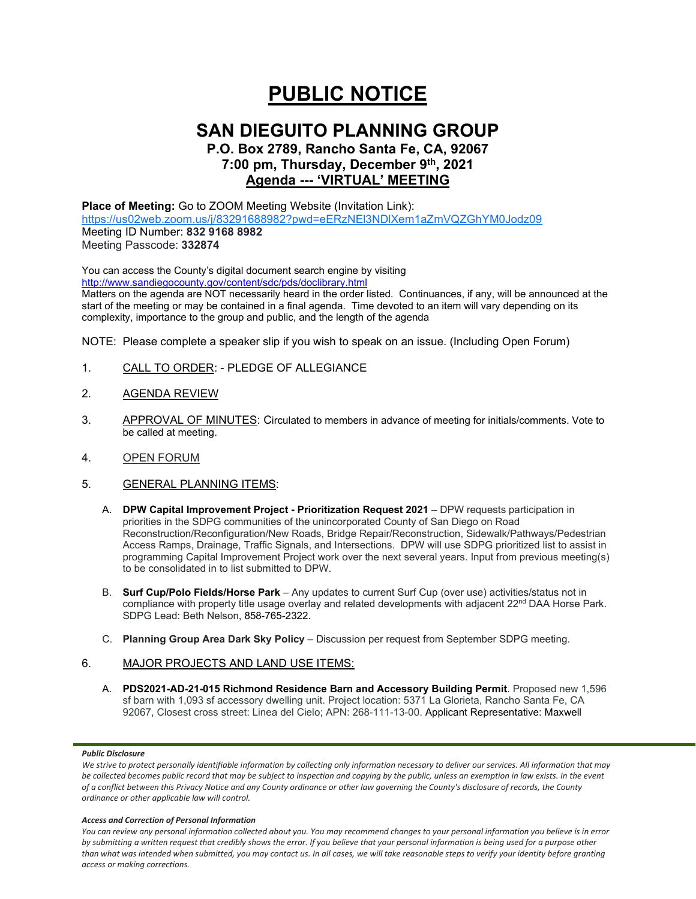# **PUBLIC NOTICE**

## **SAN DIEGUITO PLANNING GROUP**

## **P.O. Box 2789, Rancho Santa Fe, CA, 92067 7:00 pm, Thursday, December 9th, 2021 Agenda --- 'VIRTUAL' MEETING**

**Place of Meeting:** Go to ZOOM Meeting Website (Invitation Link): <https://us02web.zoom.us/j/83291688982?pwd=eERzNEl3NDlXem1aZmVQZGhYM0Jodz09> Meeting ID Number: **832 9168 8982** Meeting Passcode: **332874**

You can access the County's digital document search engine by visiting <http://www.sandiegocounty.gov/content/sdc/pds/doclibrary.html> Matters on the agenda are NOT necessarily heard in the order listed. Continuances, if any, will be announced at the start of the meeting or may be contained in a final agenda. Time devoted to an item will vary depending on its complexity, importance to the group and public, and the length of the agenda

NOTE: Please complete a speaker slip if you wish to speak on an issue. (Including Open Forum)

- 1. CALL TO ORDER: PLEDGE OF ALLEGIANCE
- 2. AGENDA REVIEW
- 3. APPROVAL OF MINUTES: Circulated to members in advance of meeting for initials/comments. Vote to be called at meeting.
- 4. OPEN FORUM
- 5. GENERAL PLANNING ITEMS:
	- A. **DPW Capital Improvement Project - Prioritization Request 2021** DPW requests participation in priorities in the SDPG communities of the unincorporated County of San Diego on Road Reconstruction/Reconfiguration/New Roads, Bridge Repair/Reconstruction, Sidewalk/Pathways/Pedestrian Access Ramps, Drainage, Traffic Signals, and Intersections. DPW will use SDPG prioritized list to assist in programming Capital Improvement Project work over the next several years. Input from previous meeting(s) to be consolidated in to list submitted to DPW.
	- B. **Surf Cup/Polo Fields/Horse Park** Any updates to current Surf Cup (over use) activities/status not in compliance with property title usage overlay and related developments with adjacent 22<sup>nd</sup> DAA Horse Park. SDPG Lead: Beth Nelson, 858-765-2322.
	- C. **Planning Group Area Dark Sky Policy**  Discussion per request from September SDPG meeting.

## 6. MAJOR PROJECTS AND LAND USE ITEMS:

A. **PDS2021-AD-21-015 Richmond Residence Barn and Accessory Building Permit**. Proposed new 1,596 sf barn with 1,093 sf accessory dwelling unit. Project location: 5371 La Glorieta, Rancho Santa Fe, CA 92067, Closest cross street: Linea del Cielo; APN: 268-111-13-00. Applicant Representative: Maxwell

## *Public Disclosure*

We strive to protect personally identifiable information by collecting only information necessary to deliver our services. All information that may *be collected becomes public record that may be subject to inspection and copying by the public, unless an exemption in law exists. In the event of a conflict between this Privacy Notice and any County ordinance or other law governing the County's disclosure of records, the County ordinance or other applicable law will control.*

#### *Access and Correction of Personal Information*

*You can review any personal information collected about you. You may recommend changes to your personal information you believe is in error by submitting a written request that credibly shows the error. If you believe that your personal information is being used for a purpose other than what was intended when submitted, you may contact us. In all cases, we will take reasonable steps to verify your identity before granting access or making corrections.*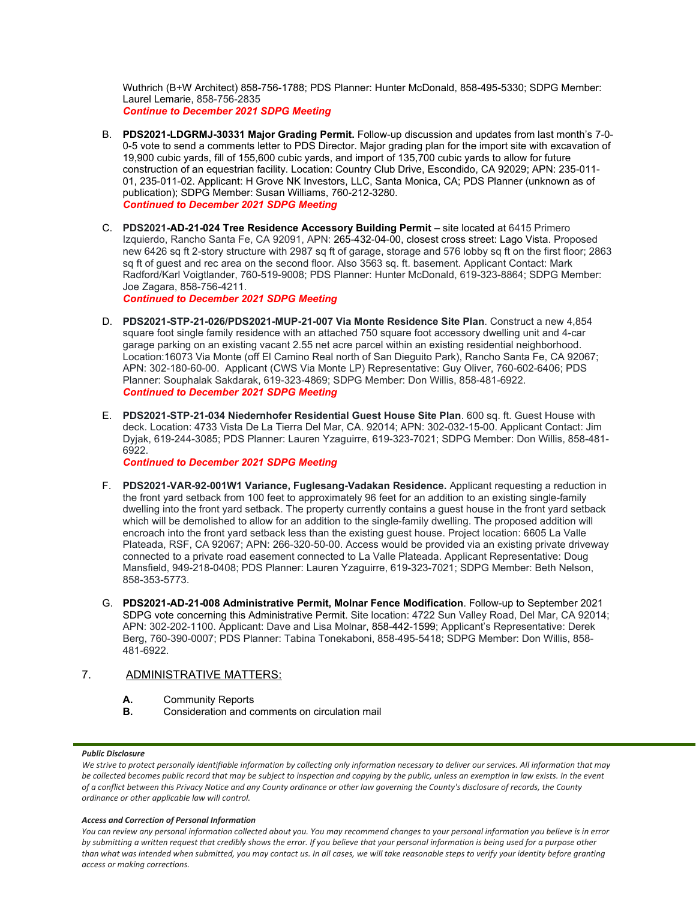Wuthrich (B+W Architect) 858-756-1788; PDS Planner: Hunter McDonald, 858-495-5330; SDPG Member: Laurel Lemarie, 858-756-2835 *Continue to December 2021 SDPG Meeting*

- B. **PDS2021-LDGRMJ-30331 Major Grading Permit.** Follow-up discussion and updates from last month's 7-0- 0-5 vote to send a comments letter to PDS Director. Major grading plan for the import site with excavation of 19,900 cubic yards, fill of 155,600 cubic yards, and import of 135,700 cubic yards to allow for future construction of an equestrian facility. Location: Country Club Drive, Escondido, CA 92029; APN: 235-011- 01, 235-011-02. Applicant: H Grove NK Investors, LLC, Santa Monica, CA; PDS Planner (unknown as of publication); SDPG Member: Susan Williams, 760-212-3280. *Continued to December 2021 SDPG Meeting*
- C. **PDS2021-AD-21-024 Tree Residence Accessory Building Permit** site located at 6415 Primero Izquierdo, Rancho Santa Fe, CA 92091, APN: 265-432-04-00, closest cross street: Lago Vista. Proposed new 6426 sq ft 2-story structure with 2987 sq ft of garage, storage and 576 lobby sq ft on the first floor; 2863 sq ft of guest and rec area on the second floor. Also 3563 sq. ft. basement. Applicant Contact: Mark Radford/Karl Voigtlander, 760-519-9008; PDS Planner: Hunter McDonald, 619-323-8864; SDPG Member: Joe Zagara, 858-756-4211.

*Continued to December 2021 SDPG Meeting*

- D. **PDS2021-STP-21-026/PDS2021-MUP-21-007 Via Monte Residence Site Plan**. Construct a new 4,854 square foot single family residence with an attached 750 square foot accessory dwelling unit and 4-car garage parking on an existing vacant 2.55 net acre parcel within an existing residential neighborhood. Location:16073 Via Monte (off El Camino Real north of San Dieguito Park), Rancho Santa Fe, CA 92067; APN: 302-180-60-00. Applicant (CWS Via Monte LP) Representative: Guy Oliver, 760-602-6406; PDS Planner: Souphalak Sakdarak, 619-323-4869; SDPG Member: Don Willis, 858-481-6922. *Continued to December 2021 SDPG Meeting*
- E. **PDS2021-STP-21-034 Niedernhofer Residential Guest House Site Plan**. 600 sq. ft. Guest House with deck. Location: 4733 Vista De La Tierra Del Mar, CA. 92014; APN: 302-032-15-00. Applicant Contact: Jim Dyjak, 619-244-3085; PDS Planner: Lauren Yzaguirre, 619-323-7021; SDPG Member: Don Willis, 858-481- 6922.

*Continued to December 2021 SDPG Meeting*

- F. **PDS2021-VAR-92-001W1 Variance, Fuglesang-Vadakan Residence.** Applicant requesting a reduction in the front yard setback from 100 feet to approximately 96 feet for an addition to an existing single-family dwelling into the front yard setback. The property currently contains a guest house in the front yard setback which will be demolished to allow for an addition to the single-family dwelling. The proposed addition will encroach into the front yard setback less than the existing guest house. Project location: 6605 La Valle Plateada, RSF, CA 92067; APN: 266-320-50-00. Access would be provided via an existing private driveway connected to a private road easement connected to La Valle Plateada. Applicant Representative: Doug Mansfield, 949-218-0408; PDS Planner: Lauren Yzaguirre, 619-323-7021; SDPG Member: Beth Nelson, 858-353-5773.
- G. **PDS2021-AD-21-008 Administrative Permit, Molnar Fence Modification**. Follow-up to September 2021 SDPG vote concerning this Administrative Permit. Site location: 4722 Sun Valley Road, Del Mar, CA 92014; APN: 302-202-1100. Applicant: Dave and Lisa Molnar, 858-442-1599; Applicant's Representative: Derek Berg, 760-390-0007; PDS Planner: Tabina Tonekaboni, 858-495-5418; SDPG Member: Don Willis, 858- 481-6922.

## 7. ADMINISTRATIVE MATTERS:

- **A.** Community Reports<br>**B.** Consideration and co
- **B.** Consideration and comments on circulation mail

## *Public Disclosure*

#### *Access and Correction of Personal Information*

*You can review any personal information collected about you. You may recommend changes to your personal information you believe is in error by submitting a written request that credibly shows the error. If you believe that your personal information is being used for a purpose other than what was intended when submitted, you may contact us. In all cases, we will take reasonable steps to verify your identity before granting access or making corrections.*

We strive to protect personally identifiable information by collecting only information necessary to deliver our services. All information that may *be collected becomes public record that may be subject to inspection and copying by the public, unless an exemption in law exists. In the event of a conflict between this Privacy Notice and any County ordinance or other law governing the County's disclosure of records, the County ordinance or other applicable law will control.*